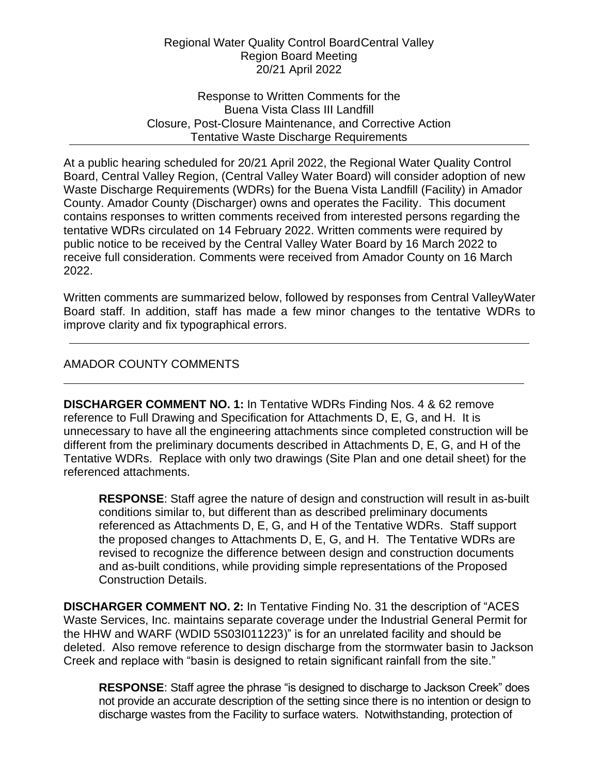## Regional Water Quality Control Board Central Valley Region Board Meeting 20/21 April 2022

Response to Written Comments for the Buena Vista Class III Landfill Closure, Post-Closure Maintenance, and Corrective Action Tentative Waste Discharge Requirements

At a public hearing scheduled for 20/21 April 2022, the Regional Water Quality Control Board, Central Valley Region, (Central Valley Water Board) will consider adoption of new Waste Discharge Requirements (WDRs) for the Buena Vista Landfill (Facility) in Amador County. Amador County (Discharger) owns and operates the Facility. This document contains responses to written comments received from interested persons regarding the tentative WDRs circulated on 14 February 2022. Written comments were required by public notice to be received by the Central Valley Water Board by 16 March 2022 to receive full consideration. Comments were received from Amador County on 16 March 2022.

Written comments are summarized below, followed by responses from Central Valley Water Board staff. In addition, staff has made a few minor changes to the tentative WDRs to improve clarity and fix typographical errors.

## AMADOR COUNTY COMMENTS

**DISCHARGER COMMENT NO. 1:** In Tentative WDRs Finding Nos. 4 & 62 remove reference to Full Drawing and Specification for Attachments D, E, G, and H. It is unnecessary to have all the engineering attachments since completed construction will be different from the preliminary documents described in Attachments D, E, G, and H of the Tentative WDRs. Replace with only two drawings (Site Plan and one detail sheet) for the referenced attachments.

**RESPONSE**: Staff agree the nature of design and construction will result in as-built conditions similar to, but different than as described preliminary documents referenced as Attachments D, E, G, and H of the Tentative WDRs. Staff support the proposed changes to Attachments D, E, G, and H. The Tentative WDRs are revised to recognize the difference between design and construction documents and as-built conditions, while providing simple representations of the Proposed Construction Details.

**DISCHARGER COMMENT NO. 2:** In Tentative Finding No. 31 the description of "ACES Waste Services, Inc. maintains separate coverage under the Industrial General Permit for the HHW and WARF (WDID 5S03I011223)" is for an unrelated facility and should be deleted. Also remove reference to design discharge from the stormwater basin to Jackson Creek and replace with "basin is designed to retain significant rainfall from the site."

**RESPONSE**: Staff agree the phrase "is designed to discharge to Jackson Creek" does not provide an accurate description of the setting since there is no intention or design to discharge wastes from the Facility to surface waters. Notwithstanding, protection of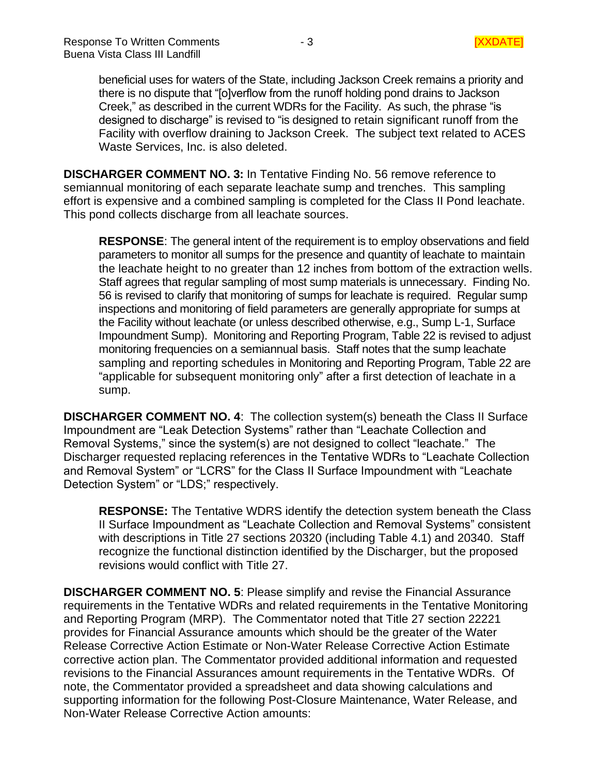beneficial uses for waters of the State, including Jackson Creek remains a priority and there is no dispute that "[o]verflow from the runoff holding pond drains to Jackson Creek," as described in the current WDRs for the Facility. As such, the phrase "is designed to discharge" is revised to "is designed to retain significant runoff from the Facility with overflow draining to Jackson Creek. The subject text related to ACES Waste Services, Inc. is also deleted.

**DISCHARGER COMMENT NO. 3:** In Tentative Finding No. 56 remove reference to semiannual monitoring of each separate leachate sump and trenches. This sampling effort is expensive and a combined sampling is completed for the Class II Pond leachate. This pond collects discharge from all leachate sources.

**RESPONSE**: The general intent of the requirement is to employ observations and field parameters to monitor all sumps for the presence and quantity of leachate to maintain the leachate height to no greater than 12 inches from bottom of the extraction wells. Staff agrees that regular sampling of most sump materials is unnecessary. Finding No. 56 is revised to clarify that monitoring of sumps for leachate is required. Regular sump inspections and monitoring of field parameters are generally appropriate for sumps at the Facility without leachate (or unless described otherwise, e.g., Sump L-1, Surface Impoundment Sump). Monitoring and Reporting Program, Table 22 is revised to adjust monitoring frequencies on a semiannual basis. Staff notes that the sump leachate sampling and reporting schedules in Monitoring and Reporting Program, Table 22 are "applicable for subsequent monitoring only" after a first detection of leachate in a sump.

**DISCHARGER COMMENT NO. 4**: The collection system(s) beneath the Class II Surface Impoundment are "Leak Detection Systems" rather than "Leachate Collection and Removal Systems," since the system(s) are not designed to collect "leachate." The Discharger requested replacing references in the Tentative WDRs to "Leachate Collection and Removal System" or "LCRS" for the Class II Surface Impoundment with "Leachate Detection System" or "LDS;" respectively.

**RESPONSE:** The Tentative WDRS identify the detection system beneath the Class II Surface Impoundment as "Leachate Collection and Removal Systems" consistent with descriptions in Title 27 sections 20320 (including Table 4.1) and 20340. Staff recognize the functional distinction identified by the Discharger, but the proposed revisions would conflict with Title 27.

**DISCHARGER COMMENT NO. 5**: Please simplify and revise the Financial Assurance requirements in the Tentative WDRs and related requirements in the Tentative Monitoring and Reporting Program (MRP). The Commentator noted that Title 27 section 22221 provides for Financial Assurance amounts which should be the greater of the Water Release Corrective Action Estimate or Non-Water Release Corrective Action Estimate corrective action plan. The Commentator provided additional information and requested revisions to the Financial Assurances amount requirements in the Tentative WDRs. Of note, the Commentator provided a spreadsheet and data showing calculations and supporting information for the following Post-Closure Maintenance, Water Release, and Non-Water Release Corrective Action amounts: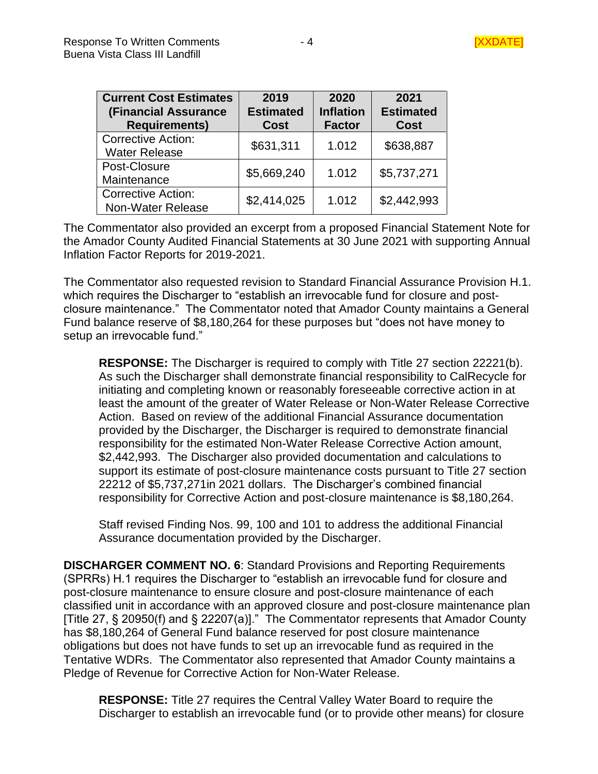| <b>Current Cost Estimates</b><br><b>(Financial Assurance</b><br><b>Requirements)</b> | 2019<br><b>Estimated</b><br><b>Cost</b> | 2020<br><b>Inflation</b><br><b>Factor</b> | 2021<br><b>Estimated</b><br><b>Cost</b> |
|--------------------------------------------------------------------------------------|-----------------------------------------|-------------------------------------------|-----------------------------------------|
| <b>Corrective Action:</b><br><b>Water Release</b>                                    | \$631,311                               | 1.012                                     | \$638,887                               |
| Post-Closure<br>Maintenance                                                          | \$5,669,240                             | 1.012                                     | \$5,737,271                             |
| <b>Corrective Action:</b><br>Non-Water Release                                       | \$2,414,025                             | 1.012                                     | \$2,442,993                             |

The Commentator also provided an excerpt from a proposed Financial Statement Note for the Amador County Audited Financial Statements at 30 June 2021 with supporting Annual Inflation Factor Reports for 2019-2021.

The Commentator also requested revision to Standard Financial Assurance Provision H.1. which requires the Discharger to "establish an irrevocable fund for closure and postclosure maintenance." The Commentator noted that Amador County maintains a General Fund balance reserve of \$8,180,264 for these purposes but "does not have money to setup an irrevocable fund."

**RESPONSE:** The Discharger is required to comply with Title 27 section 22221(b). As such the Discharger shall demonstrate financial responsibility to CalRecycle for initiating and completing known or reasonably foreseeable corrective action in at least the amount of the greater of Water Release or Non-Water Release Corrective Action. Based on review of the additional Financial Assurance documentation provided by the Discharger, the Discharger is required to demonstrate financial responsibility for the estimated Non-Water Release Corrective Action amount, \$2,442,993. The Discharger also provided documentation and calculations to support its estimate of post-closure maintenance costs pursuant to Title 27 section 22212 of \$5,737,271in 2021 dollars. The Discharger's combined financial responsibility for Corrective Action and post-closure maintenance is \$8,180,264.

Staff revised Finding Nos. 99, 100 and 101 to address the additional Financial Assurance documentation provided by the Discharger.

**DISCHARGER COMMENT NO. 6**: Standard Provisions and Reporting Requirements (SPRRs) H.1 requires the Discharger to "establish an irrevocable fund for closure and post-closure maintenance to ensure closure and post-closure maintenance of each classified unit in accordance with an approved closure and post-closure maintenance plan [Title 27, § 20950(f) and § 22207(a)]." The Commentator represents that Amador County has \$8,180,264 of General Fund balance reserved for post closure maintenance obligations but does not have funds to set up an irrevocable fund as required in the Tentative WDRs. The Commentator also represented that Amador County maintains a Pledge of Revenue for Corrective Action for Non-Water Release.

**RESPONSE:** Title 27 requires the Central Valley Water Board to require the Discharger to establish an irrevocable fund (or to provide other means) for closure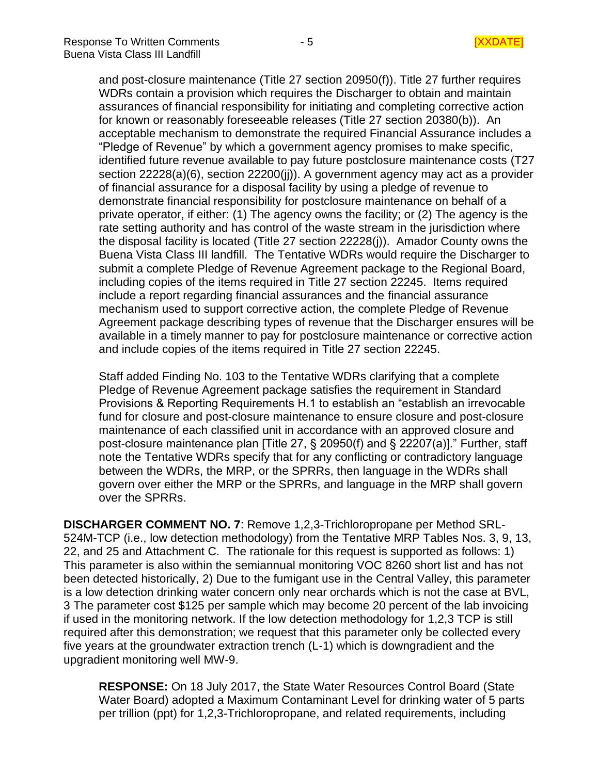and post-closure maintenance (Title 27 section 20950(f)). Title 27 further requires WDRs contain a provision which requires the Discharger to obtain and maintain assurances of financial responsibility for initiating and completing corrective action for known or reasonably foreseeable releases (Title 27 section 20380(b)). An acceptable mechanism to demonstrate the required Financial Assurance includes a "Pledge of Revenue" by which a government agency promises to make specific, identified future revenue available to pay future postclosure maintenance costs (T27 section 22228(a)(6), section 22200(ii)). A government agency may act as a provider of financial assurance for a disposal facility by using a pledge of revenue to demonstrate financial responsibility for postclosure maintenance on behalf of a private operator, if either: (1) The agency owns the facility; or (2) The agency is the rate setting authority and has control of the waste stream in the jurisdiction where the disposal facility is located (Title 27 section 22228(j)). Amador County owns the Buena Vista Class III landfill. The Tentative WDRs would require the Discharger to submit a complete Pledge of Revenue Agreement package to the Regional Board, including copies of the items required in Title 27 section 22245. Items required include a report regarding financial assurances and the financial assurance mechanism used to support corrective action, the complete Pledge of Revenue Agreement package describing types of revenue that the Discharger ensures will be available in a timely manner to pay for postclosure maintenance or corrective action and include copies of the items required in Title 27 section 22245.

Staff added Finding No. 103 to the Tentative WDRs clarifying that a complete Pledge of Revenue Agreement package satisfies the requirement in Standard Provisions & Reporting Requirements H.1 to establish an "establish an irrevocable fund for closure and post-closure maintenance to ensure closure and post-closure maintenance of each classified unit in accordance with an approved closure and post-closure maintenance plan [Title 27, § 20950(f) and § 22207(a)]." Further, staff note the Tentative WDRs specify that for any conflicting or contradictory language between the WDRs, the MRP, or the SPRRs, then language in the WDRs shall govern over either the MRP or the SPRRs, and language in the MRP shall govern over the SPRRs.

**DISCHARGER COMMENT NO. 7**: Remove 1,2,3-Trichloropropane per Method SRL-524M-TCP (i.e., low detection methodology) from the Tentative MRP Tables Nos. 3, 9, 13, 22, and 25 and Attachment C.The rationale for this request is supported as follows: 1) This parameter is also within the semiannual monitoring VOC 8260 short list and has not been detected historically, 2) Due to the fumigant use in the Central Valley, this parameter is a low detection drinking water concern only near orchards which is not the case at BVL, 3 The parameter cost \$125 per sample which may become 20 percent of the lab invoicing if used in the monitoring network. If the low detection methodology for 1,2,3 TCP is still required after this demonstration; we request that this parameter only be collected every five years at the groundwater extraction trench (L-1) which is downgradient and the upgradient monitoring well MW-9.

**RESPONSE:** On 18 July 2017, the State Water Resources Control Board (State Water Board) adopted a Maximum Contaminant Level for drinking water of 5 parts per trillion (ppt) for 1,2,3-Trichloropropane, and related requirements, including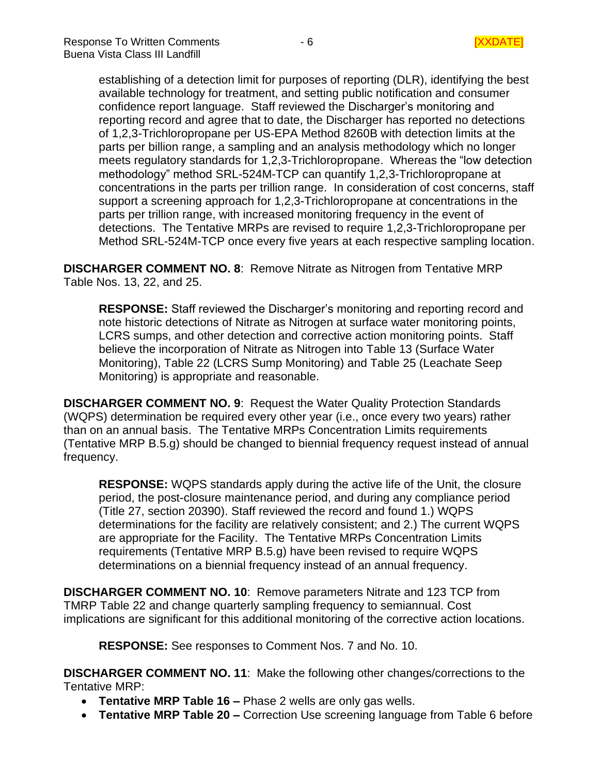establishing of a detection limit for purposes of reporting (DLR), identifying the best available technology for treatment, and setting public notification and consumer confidence report language. Staff reviewed the Discharger's monitoring and reporting record and agree that to date, the Discharger has reported no detections of 1,2,3-Trichloropropane per US-EPA Method 8260B with detection limits at the parts per billion range, a sampling and an analysis methodology which no longer meets regulatory standards for 1,2,3-Trichloropropane. Whereas the "low detection methodology" method SRL-524M-TCP can quantify 1,2,3-Trichloropropane at concentrations in the parts per trillion range. In consideration of cost concerns, staff support a screening approach for 1,2,3-Trichloropropane at concentrations in the parts per trillion range, with increased monitoring frequency in the event of detections. The Tentative MRPs are revised to require 1,2,3-Trichloropropane per Method SRL-524M-TCP once every five years at each respective sampling location.

**DISCHARGER COMMENT NO. 8**: Remove Nitrate as Nitrogen from Tentative MRP Table Nos. 13, 22, and 25.

**RESPONSE:** Staff reviewed the Discharger's monitoring and reporting record and note historic detections of Nitrate as Nitrogen at surface water monitoring points, LCRS sumps, and other detection and corrective action monitoring points. Staff believe the incorporation of Nitrate as Nitrogen into Table 13 (Surface Water Monitoring), Table 22 (LCRS Sump Monitoring) and Table 25 (Leachate Seep Monitoring) is appropriate and reasonable.

**DISCHARGER COMMENT NO. 9**: Request the Water Quality Protection Standards (WQPS) determination be required every other year (i.e., once every two years) rather than on an annual basis. The Tentative MRPs Concentration Limits requirements (Tentative MRP B.5.g) should be changed to biennial frequency request instead of annual frequency.

**RESPONSE:** WQPS standards apply during the active life of the Unit, the closure period, the post-closure maintenance period, and during any compliance period (Title 27, section 20390). Staff reviewed the record and found 1.) WQPS determinations for the facility are relatively consistent; and 2.) The current WQPS are appropriate for the Facility. The Tentative MRPs Concentration Limits requirements (Tentative MRP B.5.g) have been revised to require WQPS determinations on a biennial frequency instead of an annual frequency.

**DISCHARGER COMMENT NO. 10**: Remove parameters Nitrate and 123 TCP from TMRP Table 22 and change quarterly sampling frequency to semiannual. Cost implications are significant for this additional monitoring of the corrective action locations.

**RESPONSE:** See responses to Comment Nos. 7 and No. 10.

**DISCHARGER COMMENT NO. 11**: Make the following other changes/corrections to the Tentative MRP:

- **Tentative MRP Table 16 –** Phase 2 wells are only gas wells.
- **Tentative MRP Table 20 –** Correction Use screening language from Table 6 before